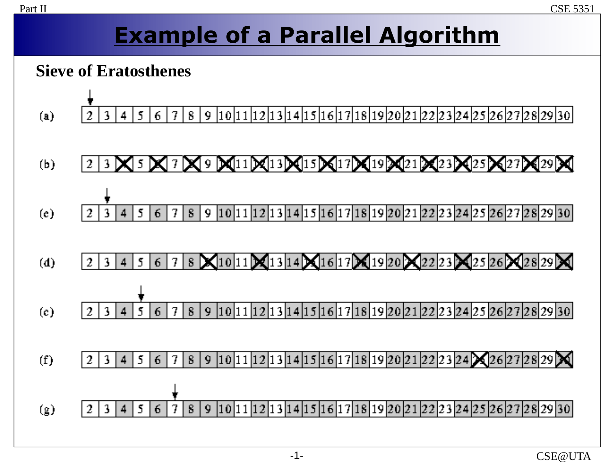# **Example of a Parallel Algorithm**

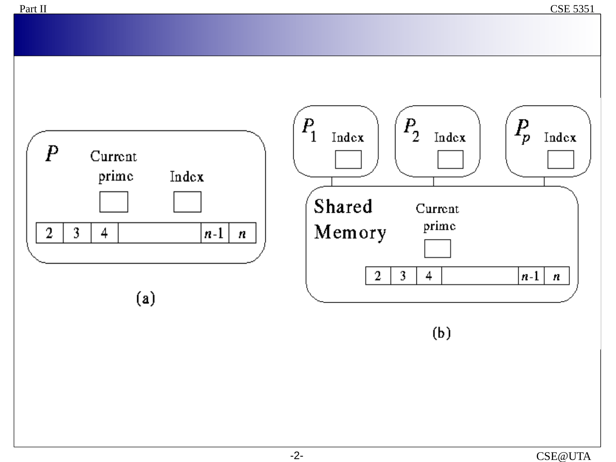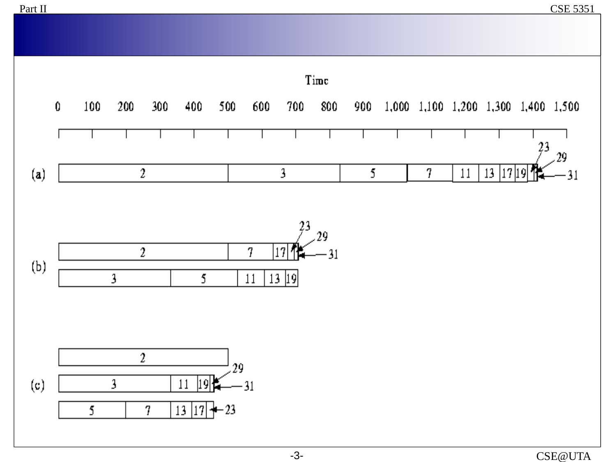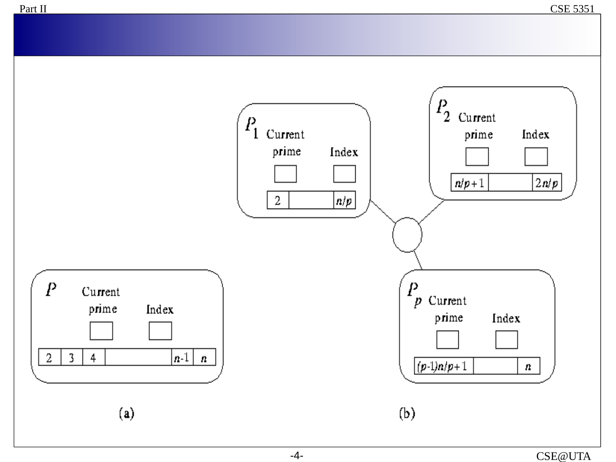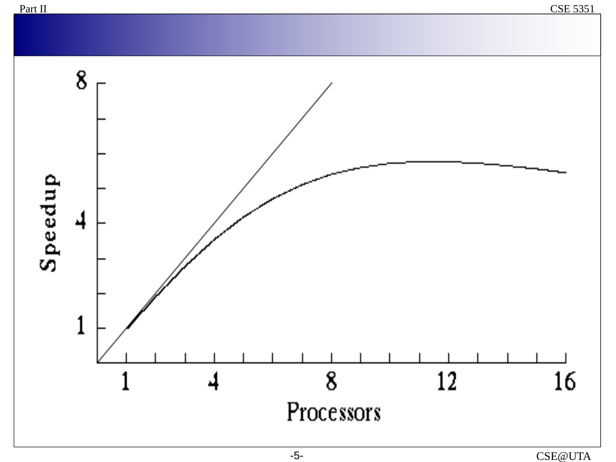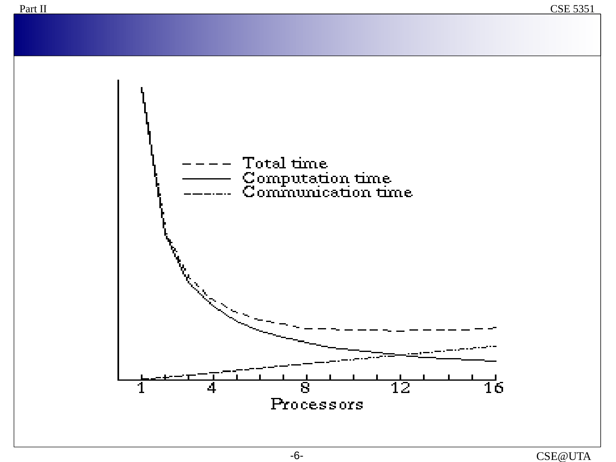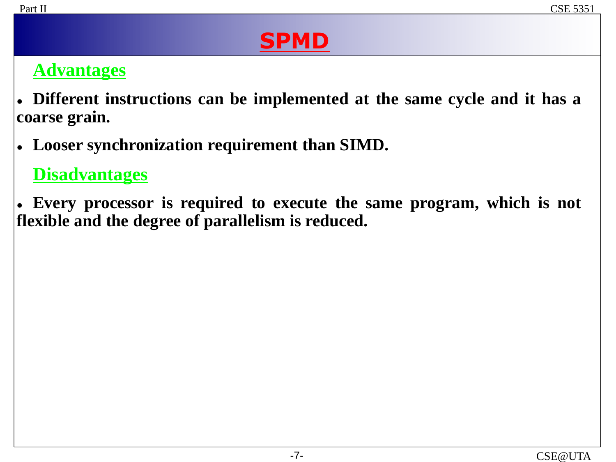# **SPMD**

### **Advantages**

 **Different instructions can be implemented at the same cycle and it has a coarse grain.**

**Looser synchronization requirement than SIMD.**

#### **Disadvantages**

 **Every processor is required to execute the same program, which is not flexible and the degree of parallelism is reduced.**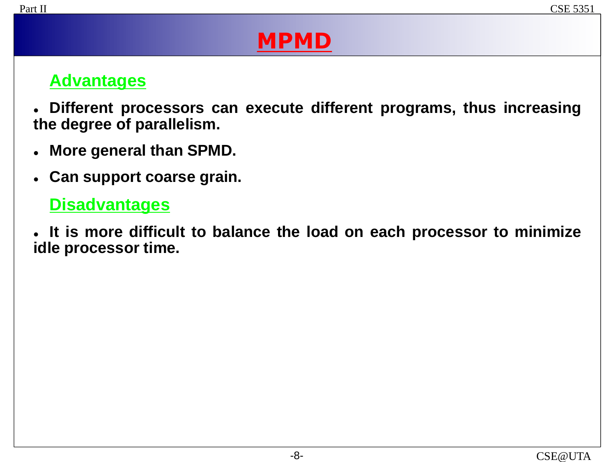# **MPMD**

#### **Advantages**

 **Different processors can execute different programs, thus increasing the degree of parallelism.**

- **More general than SPMD.**
- **Can support coarse grain.**

#### **Disadvantages**

 **It is more difficult to balance the load on each processor to minimize idle processor time.**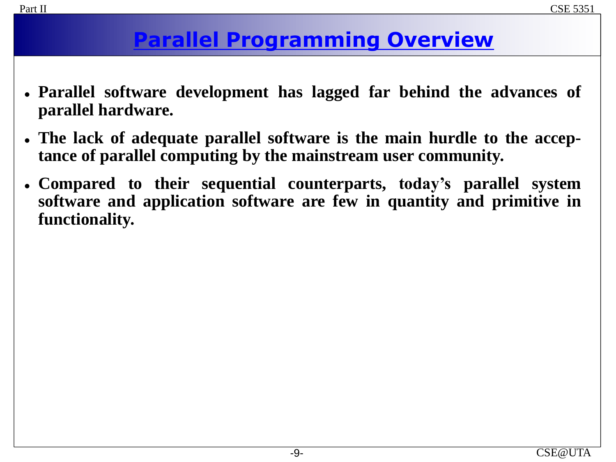## **Parallel Programming Overview**

- **Parallel software development has lagged far behind the advances of parallel hardware.**
- **The lack of adequate parallel software is the main hurdle to the acceptance of parallel computing by the mainstream user community.**
- **Compared to their sequential counterparts, today's parallel system software and application software are few in quantity and primitive in functionality.**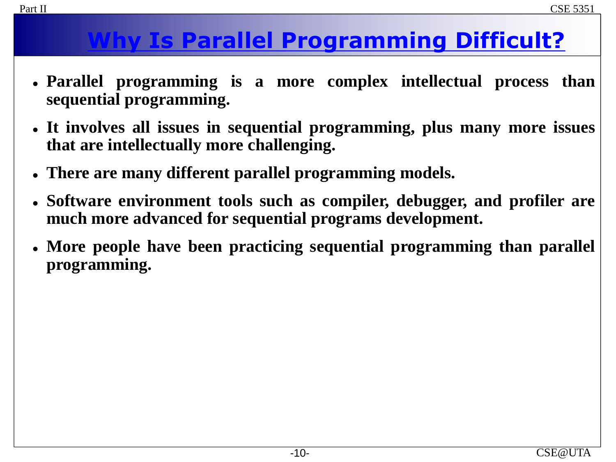# **Why Is Parallel Programming Difficult?**

- **Parallel programming is a more complex intellectual process than sequential programming.**
- **It involves all issues in sequential programming, plus many more issues that are intellectually more challenging.**
- **There are many different parallel programming models.**
- **Software environment tools such as compiler, debugger, and profiler are much more advanced for sequential programs development.**
- **More people have been practicing sequential programming than parallel programming.**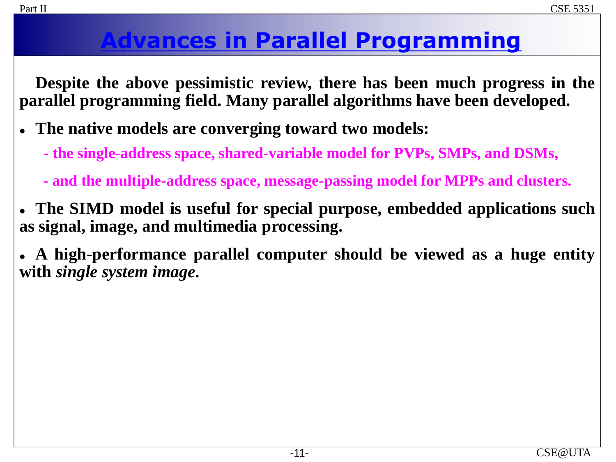# **Advances in Parallel Programming**

**Despite the above pessimistic review, there has been much progress in the parallel programming field. Many parallel algorithms have been developed.**

- **The native models are converging toward two models:**
	- **- the single-address space, shared-variable model for PVPs, SMPs, and DSMs,**
	- **- and the multiple-address space, message-passing model for MPPs and clusters.**
- **The SIMD model is useful for special purpose, embedded applications such as signal, image, and multimedia processing.**

 **A high-performance parallel computer should be viewed as a huge entity with** *single system image***.**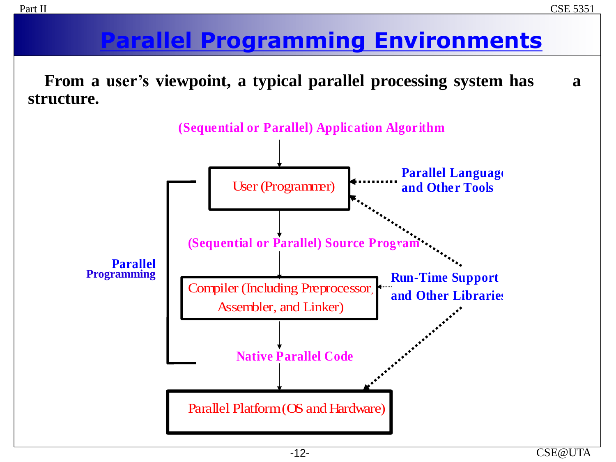# **Parallel Programming Environments**

**From a user's viewpoint, a typical parallel processing system has a structure.**

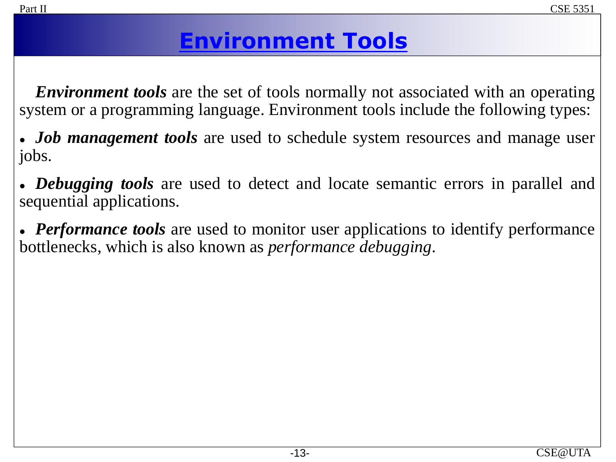# **Environment Tools**

*Environment tools* are the set of tools normally not associated with an operating system or a programming language. Environment tools include the following types:

 *Job management tools* are used to schedule system resources and manage user jobs.

 *Debugging tools* are used to detect and locate semantic errors in parallel and sequential applications.

 *Performance tools* are used to monitor user applications to identify performance bottlenecks, which is also known as *performance debugging*.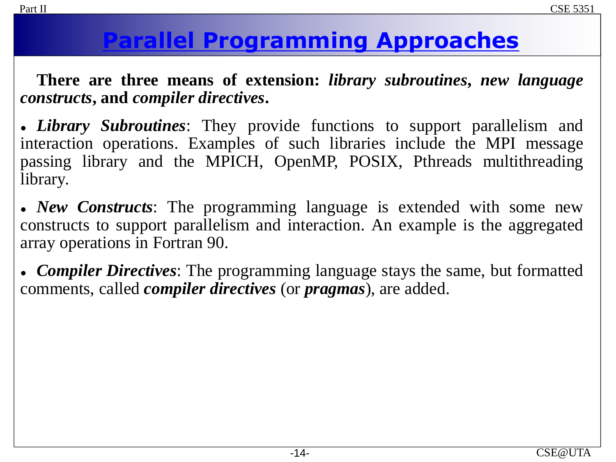# **Parallel Programming Approaches**

**There are three means of extension:** *library subroutines***,** *new language constructs***, and** *compiler directives***.**

 *Library Subroutines*: They provide functions to support parallelism and interaction operations. Examples of such libraries include the MPI message passing library and the MPICH, OpenMP, POSIX, Pthreads multithreading library.

 *New Constructs*: The programming language is extended with some new constructs to support parallelism and interaction. An example is the aggregated array operations in Fortran 90.

 *Compiler Directives*: The programming language stays the same, but formatted comments, called *compiler directives* (or *pragmas*), are added.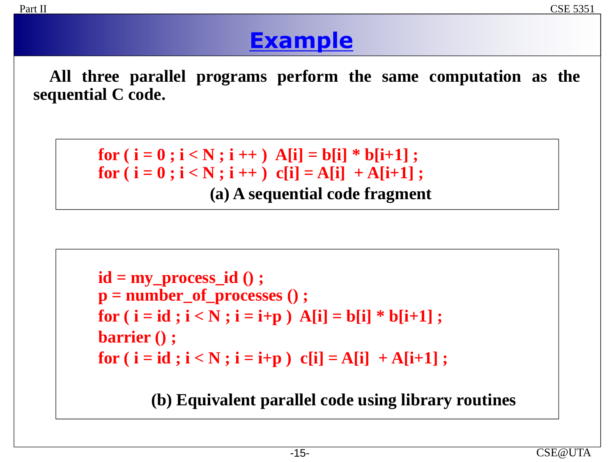## **Example**

**All three parallel programs perform the same computation as the sequential C code.**

```
for ( i = 0 ; i < N ; i + j A[i] = b[i] * b[i+1] ;
for ( i = 0 ; i < N ; i + j ) c[i] = A[i] + A[i+1];
                 (a) A sequential code fragment
```

```
id = my_process_id () ;
p = number_of_processes () ;
for (i = id; i < N; i = i+p) A[i] = b[i] * b[i+1];
barrier () ;
for (i = id; i < N; i = i+p) c[i] = A[i] + A[i+1];
```
**(b) Equivalent parallel code using library routines**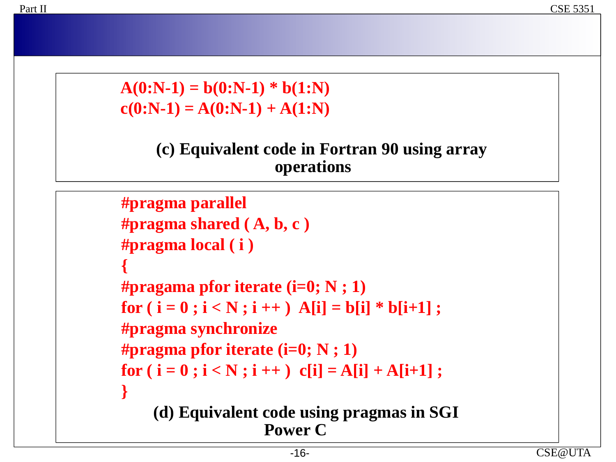$A(0:N-1) = b(0:N-1) * b(1:N)$  $c(0:N-1) = A(0:N-1) + A(1:N)$ 

#### **(c) Equivalent code in Fortran 90 using array operations**

```
#pragma parallel
#pragma shared ( A, b, c )
#pragma local ( i )
{
#pragama pfor iterate (i=0; N ; 1)
for (i = 0; i < N; i++) A[i] = b[i] * b[i+1];
#pragma synchronize
#pragma pfor iterate (i=0; N ; 1)
for (i = 0; i < N; i++) c[i] = A[i] + A[i+1];}
    (d) Equivalent code using pragmas in SGI 
                   Power C
```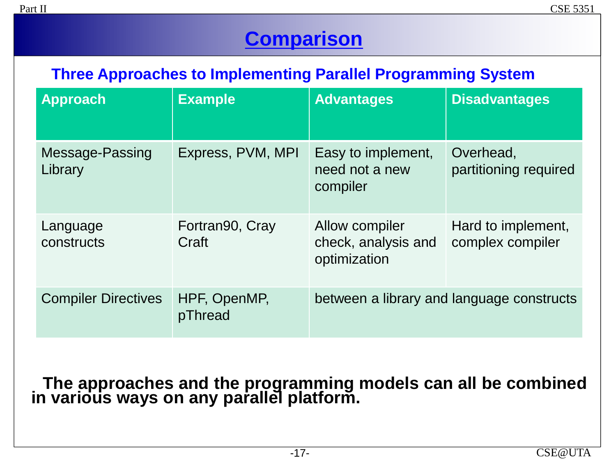## **Comparison**

#### **Three Approaches to Implementing Parallel Programming System**

| <b>Approach</b>            | <b>Example</b>           | <b>Advantages</b>                                     | <b>Disadvantages</b>                   |
|----------------------------|--------------------------|-------------------------------------------------------|----------------------------------------|
| Message-Passing<br>Library | Express, PVM, MPI        | Easy to implement,<br>need not a new<br>compiler      | Overhead,<br>partitioning required     |
| Language<br>constructs     | Fortran90, Cray<br>Craft | Allow compiler<br>check, analysis and<br>optimization | Hard to implement,<br>complex compiler |
| <b>Compiler Directives</b> | HPF, OpenMP,<br>pThread  | between a library and language constructs             |                                        |

#### **The approaches and the programming models can all be combined in various ways on any parallel platform.**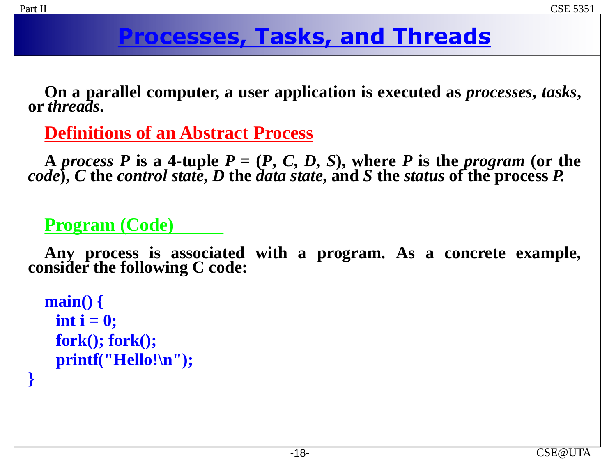**}**

# **Processes, Tasks, and Threads**

**On a parallel computer, a user application is executed as** *processes***,** *tasks***, or** *threads***.**

**Definitions of an Abstract Process**

A process P is a 4-tuple  $P = (P, C, D, S)$ , where P is the program (or the *code***),** *C* **the** *control state***,** *D* **the** *data state***, and** *S* **the** *status* **of the process** *P.*

### **Program (Code)**

**Any process is associated with a program. As a concrete example, consider the following C code:**

```
main() {
 int i = 0;fork(); fork(); 
 printf("Hello!\n");
```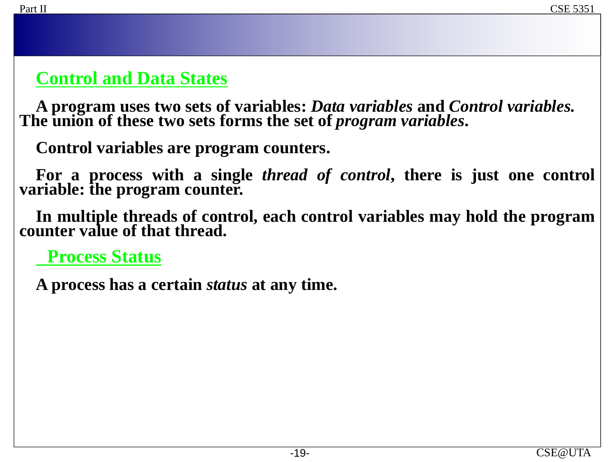### **Control and Data States**

**A program uses two sets of variables:** *Data variables* **and** *Control variables.*  The union of these two sets forms the set of *program variables*.

**Control variables are program counters.**

**For a process with a single** *thread of control***, there is just one control variable: the program counter.**

**In multiple threads of control, each control variables may hold the program counter value of that thread.**

**Process Status**

**A process has a certain** *status* **at any time.**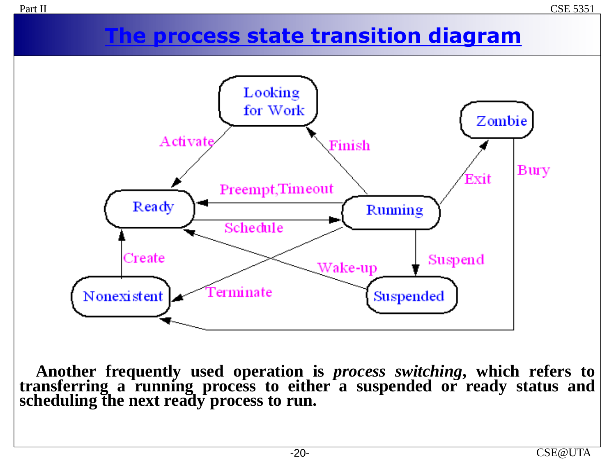### **The process state transition diagram**



**Another frequently used operation is** *process switching***, which refers to transferring a running process to either a suspended or ready status and scheduling the next ready process to run.**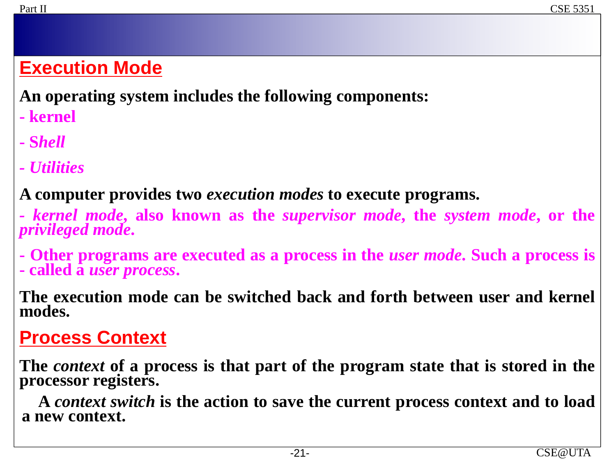## **Execution Mode**

**An operating system includes the following components:**

- **- kernel**
- **- S***hell*
- *- Utilities*

### **A computer provides two** *execution modes* **to execute programs.**

- *- kernel mode***, also known as the** *supervisor mode***, the** *system mode***, or the** *privileged mode***.**
- **- Other programs are executed as a process in the** *user mode***. Such a process is - called a** *user process***.**

**The execution mode can be switched back and forth between user and kernel modes.**

### **Process Context**

**The** *context* **of a process is that part of the program state that is stored in the processor registers.**

**A** *context switch* **is the action to save the current process context and to load a new context.**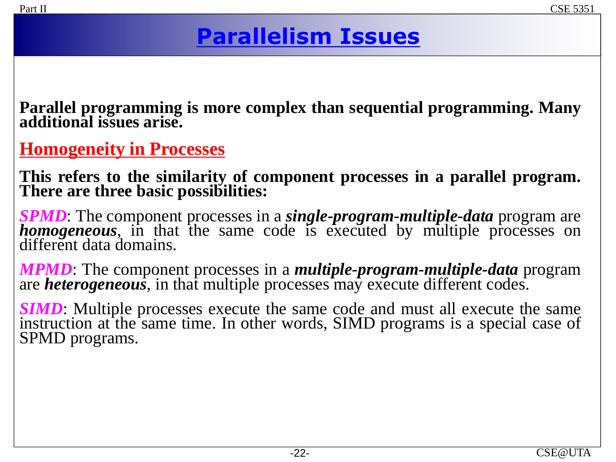# **Parallelism Issues**

**Parallel programming is more complex than sequential programming. Many additional issues arise.**

**Homogeneity in Processes**

**This refers to the similarity of component processes in a parallel program. There are three basic possibilities:**

*SPMD*: The component processes in a *single-program-multiple-data* program are *homogeneous*, in that the same code is executed by multiple processes on different data domains.

*MPMD*: The component processes in a *multiple-program-multiple-data* program are *heterogeneous*, in that multiple processes may execute different codes.

*SIMD*: Multiple processes execute the same code and must all execute the same instruction at the same time. In other words, SIMD programs is a special case of SPMD programs.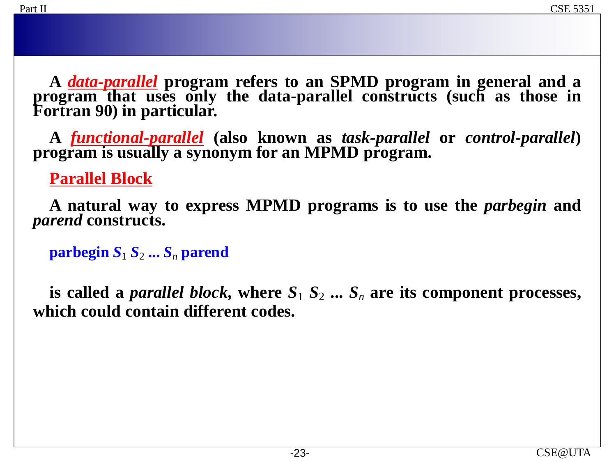**A** *data-parallel* **program refers to an SPMD program in general and a program that uses only the data-parallel constructs (such as those in Fortran 90) in particular.**

**A** *functional-parallel* **(also known as** *task-parallel* **or** *control-parallel***) program is usually a synonym for an MPMD program.**

**Parallel Block**

**A natural way to express MPMD programs is to use the** *parbegin* **and** *parend* **constructs.**

**parbegin**  $S_1 S_2 ... S_n$  **parend** 

**is** called a *parallel block*, where  $S_1$   $S_2$   $\ldots$   $S_n$  are its component processes, **which could contain different codes.**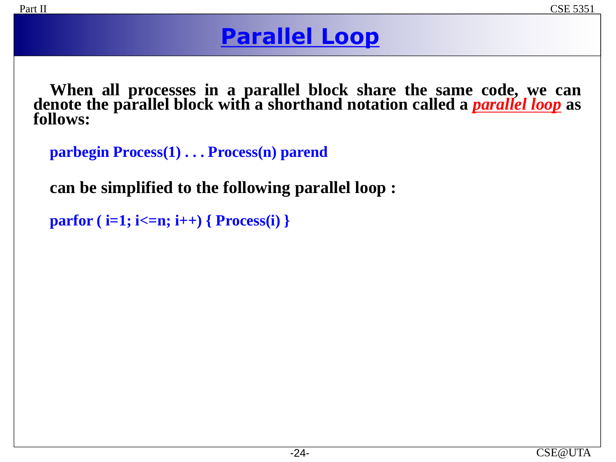## **Parallel Loop**

**When all processes in a parallel block share the same code, we can denote the parallel block with a shorthand notation called a** *parallel loop* **as follows:**

```
parbegin Process(1) . . . Process(n) parend
```
**can be simplified to the following parallel loop :**

```
parfor ( i=1; i<=n; i++) { Process(i) }
```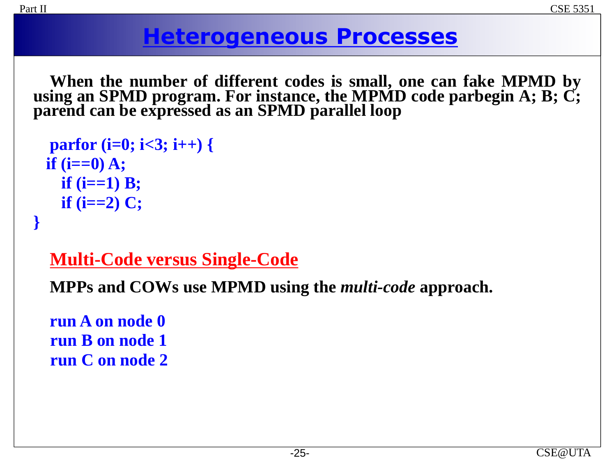## **Heterogeneous Processes**

**When the number of different codes is small, one can fake MPMD by using an SPMD program. For instance, the MPMD code parbegin A; B; C; parend can be expressed as an SPMD parallel loop**

```
parfor (i=0; i<3; i++) {
if (i==0) A;
  if (i==1) B;
  if (i==2) C;
```
### **Multi-Code versus Single-Code**

**MPPs and COWs use MPMD using the** *multi-code* **approach.**

**run A on node 0 run B on node 1 run C on node 2**

**}**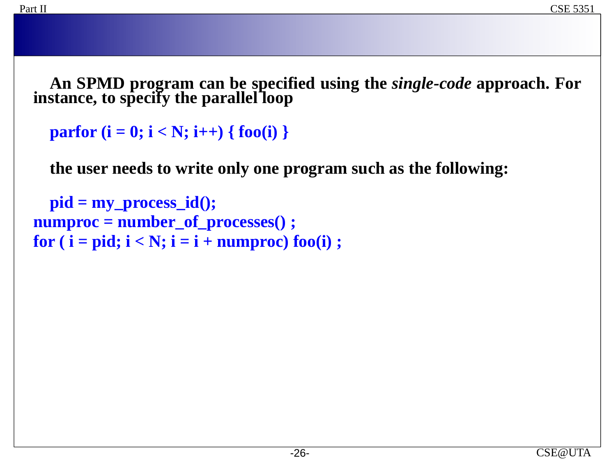**An SPMD program can be specified using the** *single-code* **approach. For instance, to specify the parallel loop**

```
parfor (i = 0; i < N; i++) { foo(i) }
```
**the user needs to write only one program such as the following:**

```
pid = my_process_id();
numproc = number_of_processes() ;
for (i = pid; i < N; i = i + numberoc) foo(i);
```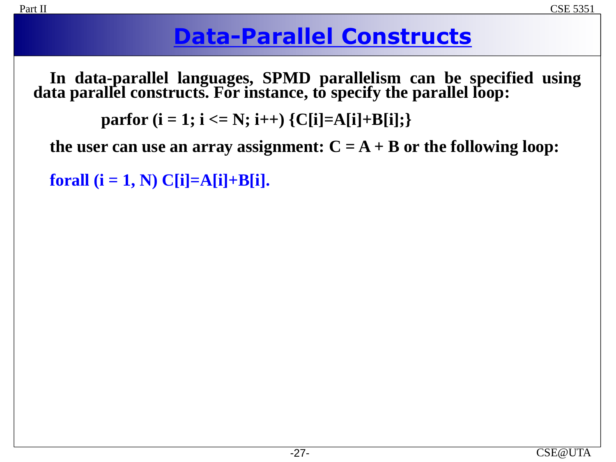## **Data-Parallel Constructs**

**In data-parallel languages, SPMD parallelism can be specified using data parallel constructs. For instance, to specify the parallel loop:**

**parfor**  $(i = 1; i \le N; i++)$   $\{C[i]=A[i]+B[i];\}$ 

**the user** can **use** an **array** assignment:  $C = A + B$  or the following loop:

**forall**  $(i = 1, N) C[i] = A[i] + B[i]$ .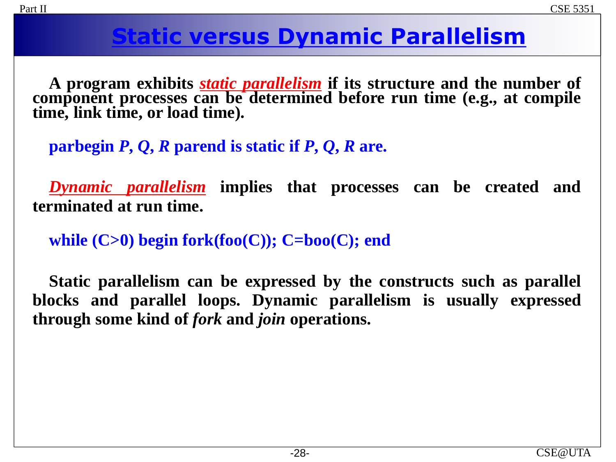## **Static versus Dynamic Parallelism**

**A program exhibits** *static parallelism* **if its structure and the number of component processes can be determined before run time (e.g., at compile time, link time, or load time).**

**parbegin** *P***,** *Q***,** *R* **parend is static if** *P***,** *Q***,** *R* **are.**

*Dynamic parallelism* **implies that processes can be created and terminated at run time.**

**while (C>0) begin fork(foo(C)); C=boo(C); end**

**Static parallelism can be expressed by the constructs such as parallel blocks and parallel loops. Dynamic parallelism is usually expressed through some kind of** *fork* **and** *join* **operations.**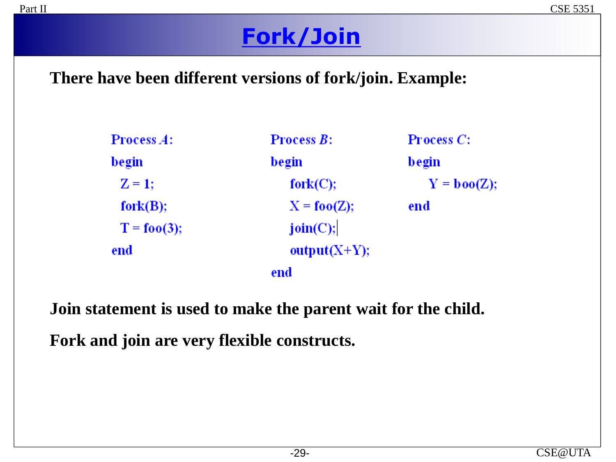# **Fork/Join**

#### **There have been different versions of fork/join. Example:**

| <b>Process <math>A</math>:</b>    | <b>Process <math>B</math>:</b> | <b>Process</b> $C$ :  |
|-----------------------------------|--------------------------------|-----------------------|
| begin                             | begin                          | begin                 |
| $Z = 1$ ;                         | fork(C);                       | $Y = \textbf{boo}(Z)$ |
| fork(B);                          | $X = \textbf{foo}(Z);$         | end                   |
| $T = f \mathbf{0} \mathbf{0}(3);$ | join(C);                       |                       |
| end                               | output $(X+Y)$ ;               |                       |
|                                   | end                            |                       |

**Join statement is used to make the parent wait for the child.**

**Fork and join are very flexible constructs.**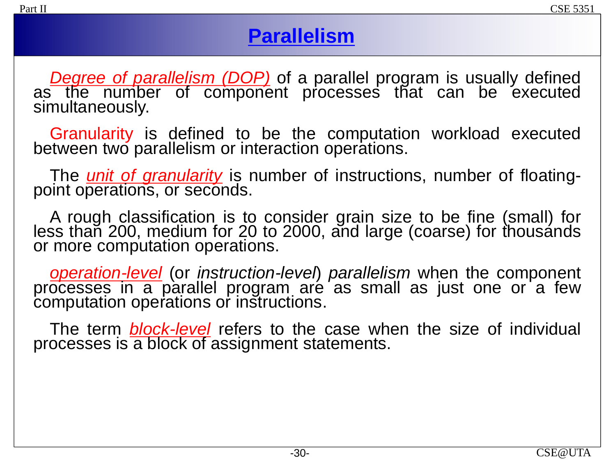### **Parallelism**

*Degree of parallelism (DOP)* of a parallel program is usually defined as the number of component processes that can be executed simultaneously.

Granularity is defined to be the computation workload executed between two parallelism or interaction operations.

The *unit of granularity* is number of instructions, number of floatingpoint operations, or seconds.

A rough classification is to consider grain size to be fine (small) for less than 200, medium for 20 to 2000, and large (coarse) for thousánds or more computation operations.

*operation-level* (or *instruction-level*) *parallelism* when the component processes in a parallel program aré as small as just one or a few computation operations or instructions.

The term *block-level* refers to the case when the size of individual processes is a block of assignment statements.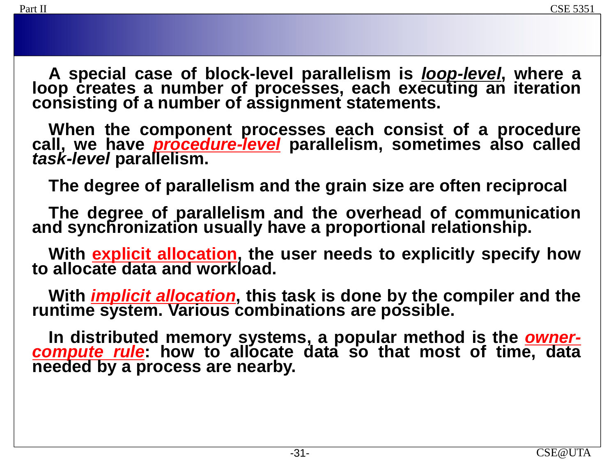**A special case of block-level parallelism is** *loop-level***, where a loop creates a number of processes, each executing an iteration consisting of a number of assignment statements.**

**When the component processes each consist of a procedure call, we have** *procedure-level* **parallelism, sometimes also called** *task-level* **parallelism.**

**The degree of parallelism and the grain size are often reciprocal**

**The degree of parallelism and the overhead of communication and synchronization usually have a proportional relationship.**

**With explicit allocation, the user needs to explicitly specify how to allocate data and workload.**

**With** *implicit allocation***, this task is done by the compiler and the runtime system. Various combinations are possible.**

**In distributed memory systems, a popular method is the** *ownercompute rule***: how to allocate data so that most of time, data needed by a process are nearby.**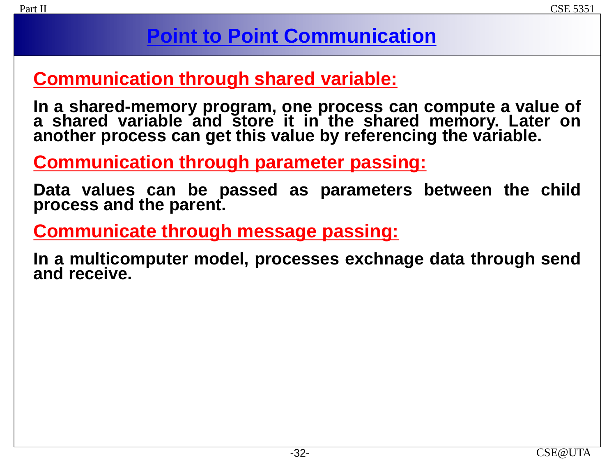## **Point to Point Communication**

### **Communication through shared variable:**

**In a shared-memory program, one process can compute a value of a shared variable and store it in the shared memory. Later on another process can get this value by referencing the variable.**

**Communication through parameter passing:**

**Data values can be passed as parameters between the child process and the parent.**

**Communicate through message passing:**

**In a multicomputer model, processes exchnage data through send and receive.**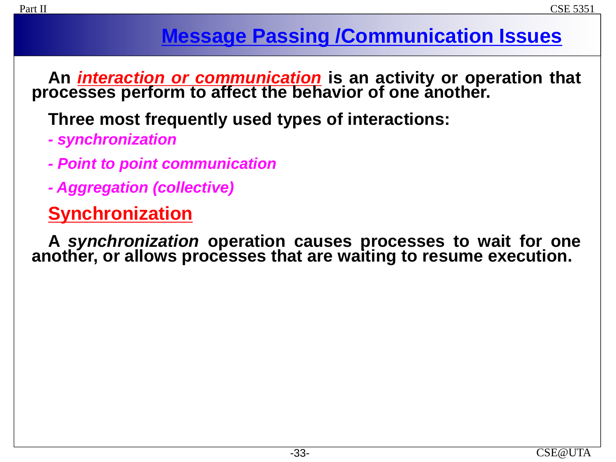## **Message Passing /Communication Issues**

**An** *interaction or communication* **is an activity or operation that processes perform to affect the behavior of one another.**

**Three most frequently used types of interactions:**

- *- synchronization*
- *- Point to point communication*
- *- Aggregation (collective)*

## **Synchronization**

**A** *synchronization* **operation causes processes to wait for one another, or allows processes that are waiting to resume execution.**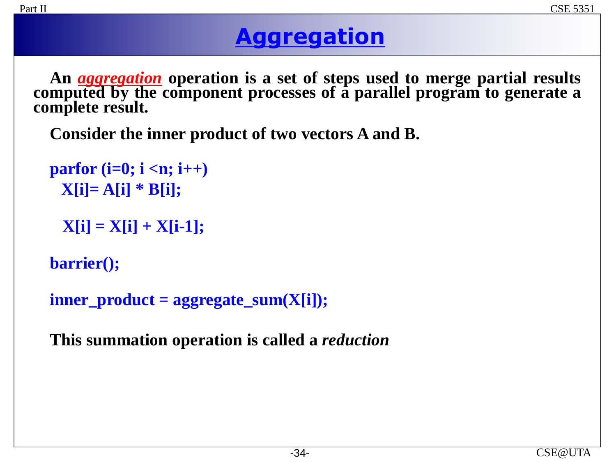# **Aggregation**

**An** *aggregation* **operation is a set of steps used to merge partial results computed by the component processes of a parallel program to generate a complete result.**

**Consider the inner product of two vectors A and B.**

```
parfor (i=0; i <n; i++) 
 X[i]= A[i] * B[i];
```

```
X[i] = X[i] + X[i-1];
```
**barrier();**

```
inner_product = aggregate_sum(X[i]);
```
**This summation operation is called a** *reduction*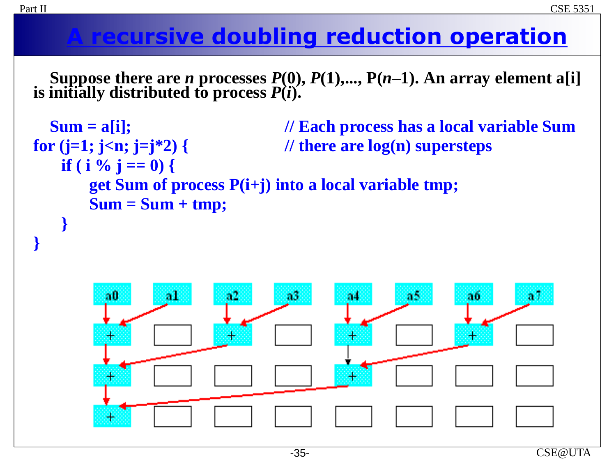# **A recursive doubling reduction operation**

**Suppose there are** *n* **processes**  $P(0)$ **,**  $P(1)$ **,...,**  $P(n-1)$ **. An array element a[i] is initially distributed to process** *P***(***i***).**

```
Sum = a[i]; // Each process has a local variable Sum
for (j=1; j<n; j=j*2) { // there are log(n) supersteps
   if ( i % j == 0) {
      get Sum of process P(i+j) into a local variable tmp;
      Sum = Sum + tmp;
   }
```


**}**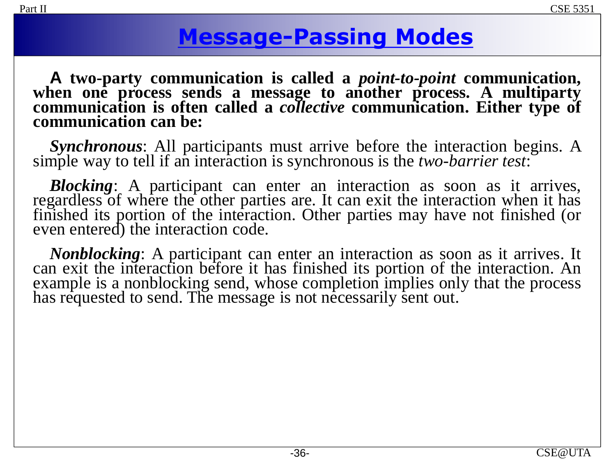## **Message-Passing Modes**

**A two-party communication is called a** *point-to-point* **communication, when one process sends a message to another process. A multiparty communication is often called a** *collective* **communication. Either type of communication can be:**

*Synchronous*: All participants must arrive before the interaction begins. A simple way to tell if an interaction is synchronous is the *two-barrier test*:

*Blocking*: A participant can enter an interaction as soon as it arrives, regardless of where the other parties are. It can exit the interaction when it has finished its portion of the interaction. Other parties may have not finished (or even entered) the interaction code.

*Nonblocking*: A participant can enter an interaction as soon as it arrives. It can exit the interaction before it has finished its portion of the interaction. An example is a nonblocking send, whose completion implies only that the process has requested to send. The message is not necessarily sent out.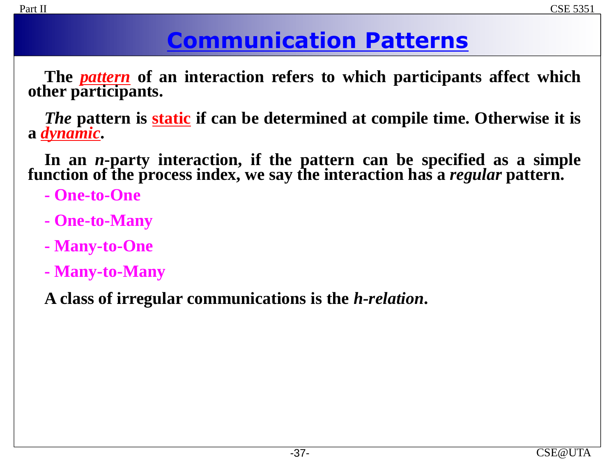# **Communication Patterns**

**The** *pattern* **of an interaction refers to which participants affect which other participants.**

*The* **pattern is static if can be determined at compile time. Otherwise it is a** *dynamic***.**

**In an** *n***-party interaction, if the pattern can be specified as a simple function of the process index, we say the interaction has a** *regular* **pattern.**

- **- One-to-One**
- **- One-to-Many**
- **- Many-to-One**
- **- Many-to-Many**

**A class of irregular communications is the** *h-relation***.**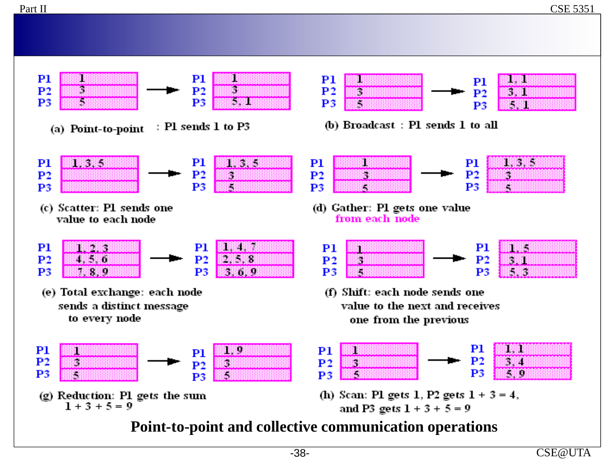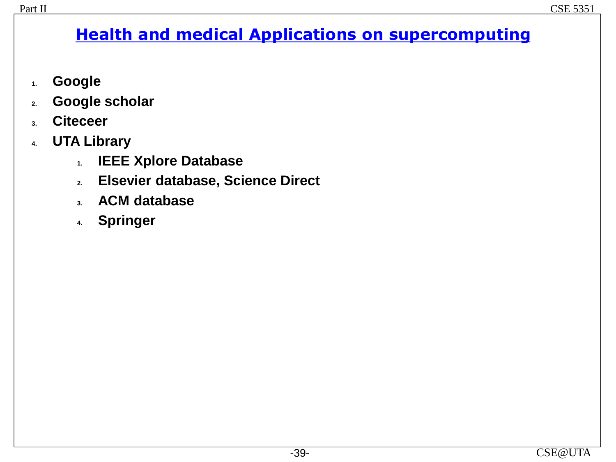### **Health and medical Applications on supercomputing**

- **1. Google**
- **2. Google scholar**
- **3. Citeceer**
- **4. UTA Library**
	- **1. IEEE Xplore Database**
	- **2. Elsevier database, Science Direct**
	- **3. ACM database**
	- **4. Springer**